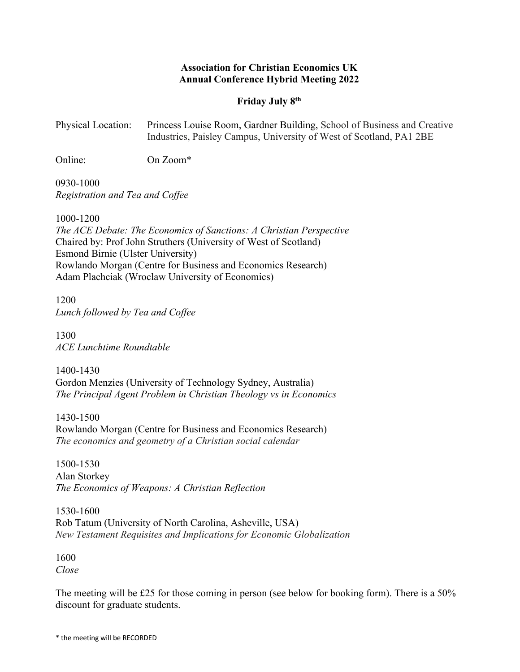## **Association for Christian Economics UK Annual Conference Hybrid Meeting 2022**

## **Friday July 8th**

| <b>Physical Location:</b> | Princess Louise Room, Gardner Building, School of Business and Creative |
|---------------------------|-------------------------------------------------------------------------|
|                           | Industries, Paisley Campus, University of West of Scotland, PA1 2BE     |

Online: On Zoom\*

0930-1000 *Registration and Tea and Coffee*

1000-1200

*The ACE Debate: The Economics of Sanctions: A Christian Perspective* Chaired by: Prof John Struthers (University of West of Scotland) Esmond Birnie (Ulster University) Rowlando Morgan (Centre for Business and Economics Research) Adam Plachciak (Wroclaw University of Economics)

1200 *Lunch followed by Tea and Coffee*

1300 *ACE Lunchtime Roundtable*

1400-1430 Gordon Menzies (University of Technology Sydney, Australia) *The Principal Agent Problem in Christian Theology vs in Economics*

1430-1500 Rowlando Morgan (Centre for Business and Economics Research) *The economics and geometry of a Christian social calendar*

1500-1530 Alan Storkey *The Economics of Weapons: A Christian Reflection*

1530-1600 Rob Tatum (University of North Carolina, Asheville, USA) *New Testament Requisites and Implications for Economic Globalization*

1600 *Close*

The meeting will be £25 for those coming in person (see below for booking form). There is a  $50\%$ discount for graduate students.